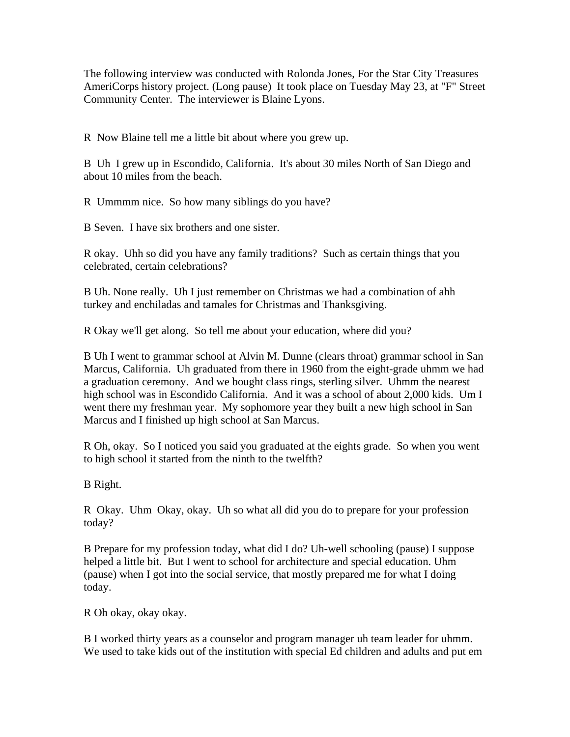The following interview was conducted with Rolonda Jones, For the Star City Treasures AmeriCorps history project. (Long pause) It took place on Tuesday May 23, at "F" Street Community Center. The interviewer is Blaine Lyons.

R Now Blaine tell me a little bit about where you grew up.

B Uh I grew up in Escondido, California. It's about 30 miles North of San Diego and about 10 miles from the beach.

R Ummmm nice. So how many siblings do you have?

B Seven. I have six brothers and one sister.

R okay. Uhh so did you have any family traditions? Such as certain things that you celebrated, certain celebrations?

B Uh. None really. Uh I just remember on Christmas we had a combination of ahh turkey and enchiladas and tamales for Christmas and Thanksgiving.

R Okay we'll get along. So tell me about your education, where did you?

B Uh I went to grammar school at Alvin M. Dunne (clears throat) grammar school in San Marcus, California. Uh graduated from there in 1960 from the eight-grade uhmm we had a graduation ceremony. And we bought class rings, sterling silver. Uhmm the nearest high school was in Escondido California. And it was a school of about 2,000 kids. Um I went there my freshman year. My sophomore year they built a new high school in San Marcus and I finished up high school at San Marcus.

R Oh, okay. So I noticed you said you graduated at the eights grade. So when you went to high school it started from the ninth to the twelfth?

B Right.

R Okay. Uhm Okay, okay. Uh so what all did you do to prepare for your profession today?

B Prepare for my profession today, what did I do? Uh-well schooling (pause) I suppose helped a little bit. But I went to school for architecture and special education. Uhm (pause) when I got into the social service, that mostly prepared me for what I doing today.

R Oh okay, okay okay.

B I worked thirty years as a counselor and program manager uh team leader for uhmm. We used to take kids out of the institution with special Ed children and adults and put em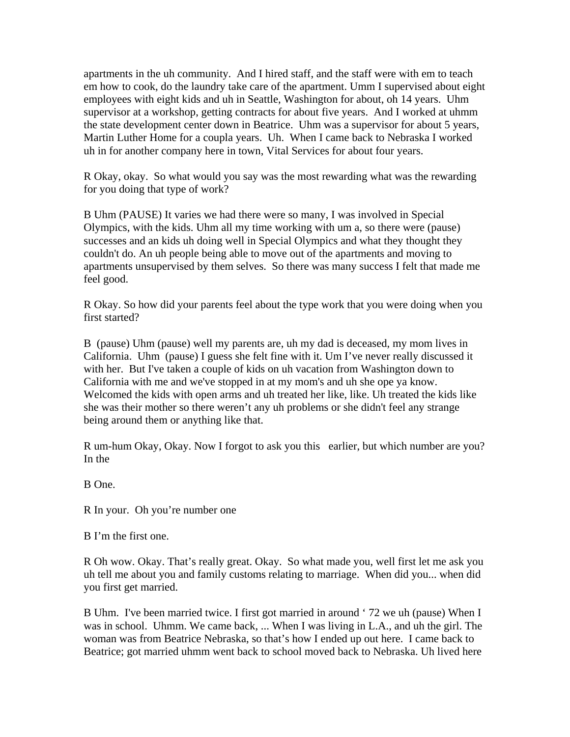apartments in the uh community. And I hired staff, and the staff were with em to teach em how to cook, do the laundry take care of the apartment. Umm I supervised about eight employees with eight kids and uh in Seattle, Washington for about, oh 14 years. Uhm supervisor at a workshop, getting contracts for about five years. And I worked at uhmm the state development center down in Beatrice. Uhm was a supervisor for about 5 years, Martin Luther Home for a coupla years. Uh. When I came back to Nebraska I worked uh in for another company here in town, Vital Services for about four years.

R Okay, okay. So what would you say was the most rewarding what was the rewarding for you doing that type of work?

B Uhm (PAUSE) It varies we had there were so many, I was involved in Special Olympics, with the kids. Uhm all my time working with um a, so there were (pause) successes and an kids uh doing well in Special Olympics and what they thought they couldn't do. An uh people being able to move out of the apartments and moving to apartments unsupervised by them selves. So there was many success I felt that made me feel good.

R Okay. So how did your parents feel about the type work that you were doing when you first started?

B (pause) Uhm (pause) well my parents are, uh my dad is deceased, my mom lives in California. Uhm (pause) I guess she felt fine with it. Um I've never really discussed it with her. But I've taken a couple of kids on uh vacation from Washington down to California with me and we've stopped in at my mom's and uh she ope ya know. Welcomed the kids with open arms and uh treated her like, like. Uh treated the kids like she was their mother so there weren't any uh problems or she didn't feel any strange being around them or anything like that.

R um-hum Okay, Okay. Now I forgot to ask you this earlier, but which number are you? In the

B One.

R In your. Oh you're number one

B I'm the first one.

R Oh wow. Okay. That's really great. Okay. So what made you, well first let me ask you uh tell me about you and family customs relating to marriage. When did you... when did you first get married.

B Uhm. I've been married twice. I first got married in around ' 72 we uh (pause) When I was in school. Uhmm. We came back, ... When I was living in L.A., and uh the girl. The woman was from Beatrice Nebraska, so that's how I ended up out here. I came back to Beatrice; got married uhmm went back to school moved back to Nebraska. Uh lived here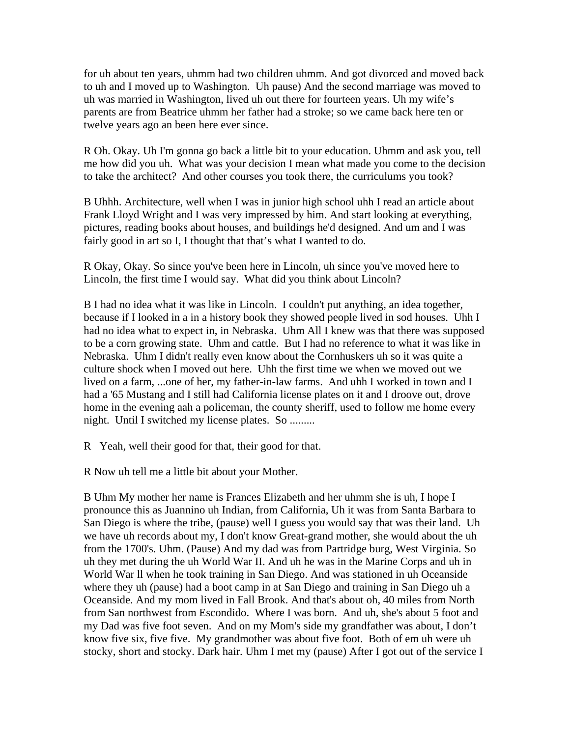for uh about ten years, uhmm had two children uhmm. And got divorced and moved back to uh and I moved up to Washington. Uh pause) And the second marriage was moved to uh was married in Washington, lived uh out there for fourteen years. Uh my wife's parents are from Beatrice uhmm her father had a stroke; so we came back here ten or twelve years ago an been here ever since.

R Oh. Okay. Uh I'm gonna go back a little bit to your education. Uhmm and ask you, tell me how did you uh. What was your decision I mean what made you come to the decision to take the architect? And other courses you took there, the curriculums you took?

B Uhhh. Architecture, well when I was in junior high school uhh I read an article about Frank Lloyd Wright and I was very impressed by him. And start looking at everything, pictures, reading books about houses, and buildings he'd designed. And um and I was fairly good in art so I, I thought that that's what I wanted to do.

R Okay, Okay. So since you've been here in Lincoln, uh since you've moved here to Lincoln, the first time I would say. What did you think about Lincoln?

B I had no idea what it was like in Lincoln. I couldn't put anything, an idea together, because if I looked in a in a history book they showed people lived in sod houses. Uhh I had no idea what to expect in, in Nebraska. Uhm All I knew was that there was supposed to be a corn growing state. Uhm and cattle. But I had no reference to what it was like in Nebraska. Uhm I didn't really even know about the Cornhuskers uh so it was quite a culture shock when I moved out here. Uhh the first time we when we moved out we lived on a farm, ...one of her, my father-in-law farms. And uhh I worked in town and I had a '65 Mustang and I still had California license plates on it and I droove out, drove home in the evening aah a policeman, the county sheriff, used to follow me home every night. Until I switched my license plates. So .........

R Yeah, well their good for that, their good for that.

R Now uh tell me a little bit about your Mother.

B Uhm My mother her name is Frances Elizabeth and her uhmm she is uh, I hope I pronounce this as Juannino uh Indian, from California, Uh it was from Santa Barbara to San Diego is where the tribe, (pause) well I guess you would say that was their land. Uh we have uh records about my, I don't know Great-grand mother, she would about the uh from the 1700's. Uhm. (Pause) And my dad was from Partridge burg, West Virginia. So uh they met during the uh World War II. And uh he was in the Marine Corps and uh in World War ll when he took training in San Diego. And was stationed in uh Oceanside where they uh (pause) had a boot camp in at San Diego and training in San Diego uh a Oceanside. And my mom lived in Fall Brook. And that's about oh, 40 miles from North from San northwest from Escondido. Where I was born. And uh, she's about 5 foot and my Dad was five foot seven. And on my Mom's side my grandfather was about, I don't know five six, five five. My grandmother was about five foot. Both of em uh were uh stocky, short and stocky. Dark hair. Uhm I met my (pause) After I got out of the service I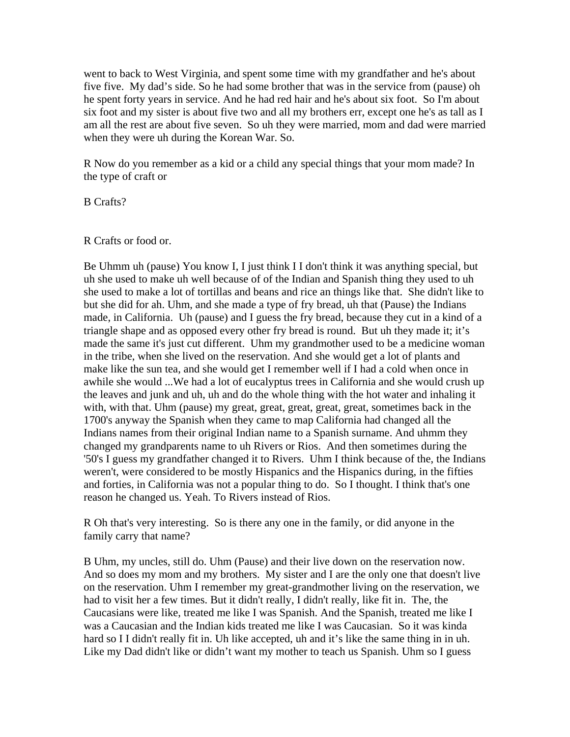went to back to West Virginia, and spent some time with my grandfather and he's about five five. My dad's side. So he had some brother that was in the service from (pause) oh he spent forty years in service. And he had red hair and he's about six foot. So I'm about six foot and my sister is about five two and all my brothers err, except one he's as tall as I am all the rest are about five seven. So uh they were married, mom and dad were married when they were uh during the Korean War. So.

R Now do you remember as a kid or a child any special things that your mom made? In the type of craft or

B Crafts?

## R Crafts or food or.

Be Uhmm uh (pause) You know I, I just think I I don't think it was anything special, but uh she used to make uh well because of of the Indian and Spanish thing they used to uh she used to make a lot of tortillas and beans and rice an things like that. She didn't like to but she did for ah. Uhm, and she made a type of fry bread, uh that (Pause) the Indians made, in California. Uh (pause) and I guess the fry bread, because they cut in a kind of a triangle shape and as opposed every other fry bread is round. But uh they made it; it's made the same it's just cut different. Uhm my grandmother used to be a medicine woman in the tribe, when she lived on the reservation. And she would get a lot of plants and make like the sun tea, and she would get I remember well if I had a cold when once in awhile she would ...We had a lot of eucalyptus trees in California and she would crush up the leaves and junk and uh, uh and do the whole thing with the hot water and inhaling it with, with that. Uhm (pause) my great, great, great, great, great, sometimes back in the 1700's anyway the Spanish when they came to map California had changed all the Indians names from their original Indian name to a Spanish surname. And uhmm they changed my grandparents name to uh Rivers or Rios. And then sometimes during the '50's I guess my grandfather changed it to Rivers. Uhm I think because of the, the Indians weren't, were considered to be mostly Hispanics and the Hispanics during, in the fifties and forties, in California was not a popular thing to do. So I thought. I think that's one reason he changed us. Yeah. To Rivers instead of Rios.

R Oh that's very interesting. So is there any one in the family, or did anyone in the family carry that name?

B Uhm, my uncles, still do. Uhm (Pause) and their live down on the reservation now. And so does my mom and my brothers. My sister and I are the only one that doesn't live on the reservation. Uhm I remember my great-grandmother living on the reservation, we had to visit her a few times. But it didn't really, I didn't really, like fit in. The, the Caucasians were like, treated me like I was Spanish. And the Spanish, treated me like I was a Caucasian and the Indian kids treated me like I was Caucasian. So it was kinda hard so I I didn't really fit in. Uh like accepted, uh and it's like the same thing in in uh. Like my Dad didn't like or didn't want my mother to teach us Spanish. Uhm so I guess